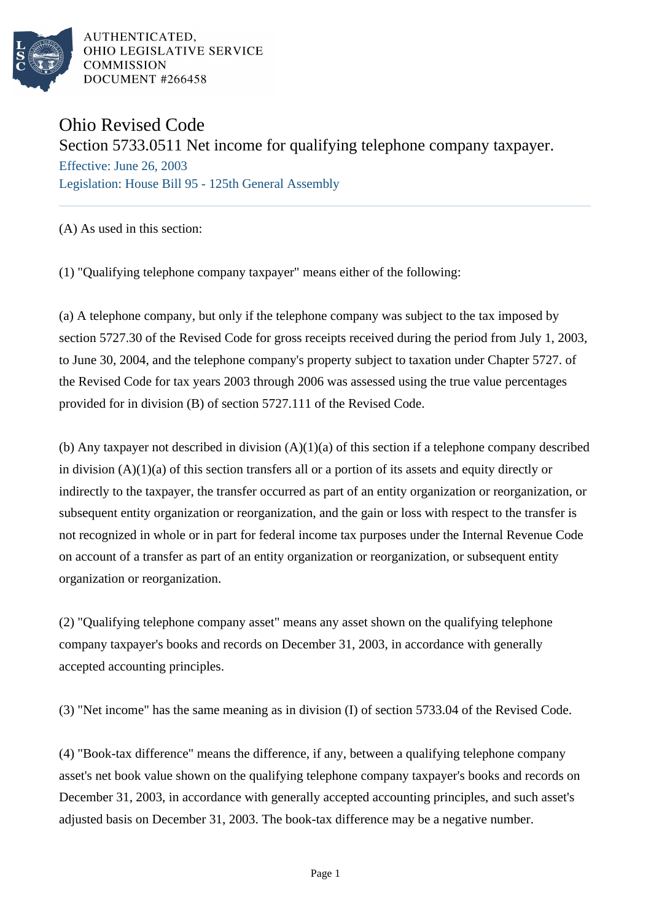

AUTHENTICATED, OHIO LEGISLATIVE SERVICE **COMMISSION** DOCUMENT #266458

## Ohio Revised Code

Section 5733.0511 Net income for qualifying telephone company taxpayer.

Effective: June 26, 2003 Legislation: House Bill 95 - 125th General Assembly

(A) As used in this section:

(1) "Qualifying telephone company taxpayer" means either of the following:

(a) A telephone company, but only if the telephone company was subject to the tax imposed by section 5727.30 of the Revised Code for gross receipts received during the period from July 1, 2003, to June 30, 2004, and the telephone company's property subject to taxation under Chapter 5727. of the Revised Code for tax years 2003 through 2006 was assessed using the true value percentages provided for in division (B) of section 5727.111 of the Revised Code.

(b) Any taxpayer not described in division (A)(1)(a) of this section if a telephone company described in division (A)(1)(a) of this section transfers all or a portion of its assets and equity directly or indirectly to the taxpayer, the transfer occurred as part of an entity organization or reorganization, or subsequent entity organization or reorganization, and the gain or loss with respect to the transfer is not recognized in whole or in part for federal income tax purposes under the Internal Revenue Code on account of a transfer as part of an entity organization or reorganization, or subsequent entity organization or reorganization.

(2) "Qualifying telephone company asset" means any asset shown on the qualifying telephone company taxpayer's books and records on December 31, 2003, in accordance with generally accepted accounting principles.

(3) "Net income" has the same meaning as in division (I) of section 5733.04 of the Revised Code.

(4) "Book-tax difference" means the difference, if any, between a qualifying telephone company asset's net book value shown on the qualifying telephone company taxpayer's books and records on December 31, 2003, in accordance with generally accepted accounting principles, and such asset's adjusted basis on December 31, 2003. The book-tax difference may be a negative number.